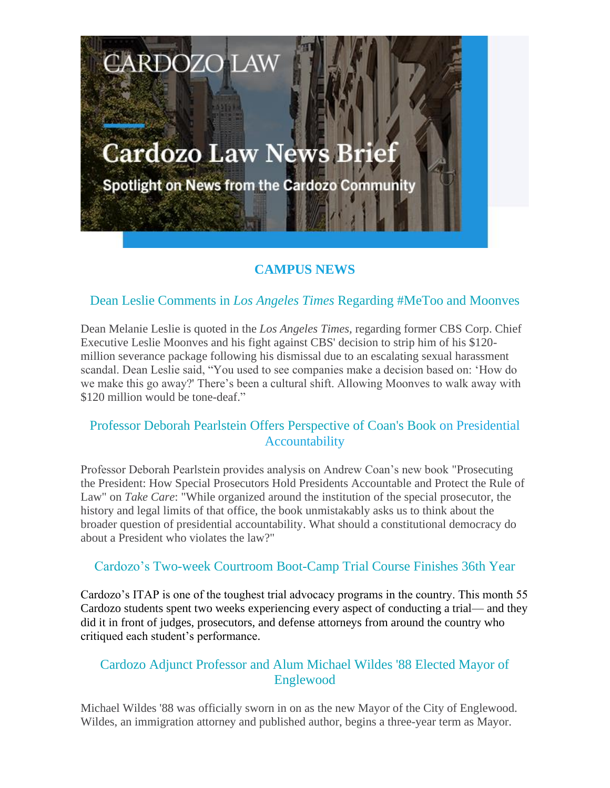# **Cardozo Law News Brief**

**CARDOZO LAW** 

Spotlight on News from the Cardozo Community

## **CAMPUS NEWS**

## Dean Leslie Comments in *Los Angeles Times* Regarding #MeToo and Moonves

Dean Melanie Leslie is quoted in the *Los Angeles Times,* regarding former CBS Corp. Chief Executive Leslie Moonves and his fight against CBS' decision to strip him of his \$120 million severance package following his dismissal due to an escalating sexual harassment scandal. Dean Leslie said, "You used to see companies make a decision based on: 'How do we make this go away?' There's been a cultural shift. Allowing Moonves to walk away with \$120 million would be tone-deaf."

#### Professor Deborah Pearlstein Offers Perspective of Coan's Book on Presidential Accountability

Professor Deborah Pearlstein provides analysis on Andrew Coan's new book "Prosecuting the President: How Special Prosecutors Hold Presidents Accountable and Protect the Rule of Law" on *Take Care*: "While organized around the institution of the special prosecutor, the history and legal limits of that office, the book unmistakably asks us to think about the broader question of presidential accountability. What should a constitutional democracy do about a President who violates the law?"

#### Cardozo's Two-week Courtroom Boot-Camp Trial Course Finishes 36th Year

Cardozo's ITAP is one of the toughest trial advocacy programs in the country. This month 55 Cardozo students spent two weeks experiencing every aspect of conducting a trial— and they did it in front of judges, prosecutors, and defense attorneys from around the country who critiqued each student's performance.

## Cardozo Adjunct Professor and Alum Michael Wildes '88 Elected Mayor of Englewood

Michael Wildes '88 was officially sworn in on as the new Mayor of the City of Englewood. Wildes, an immigration attorney and published author, begins a three-year term as Mayor.